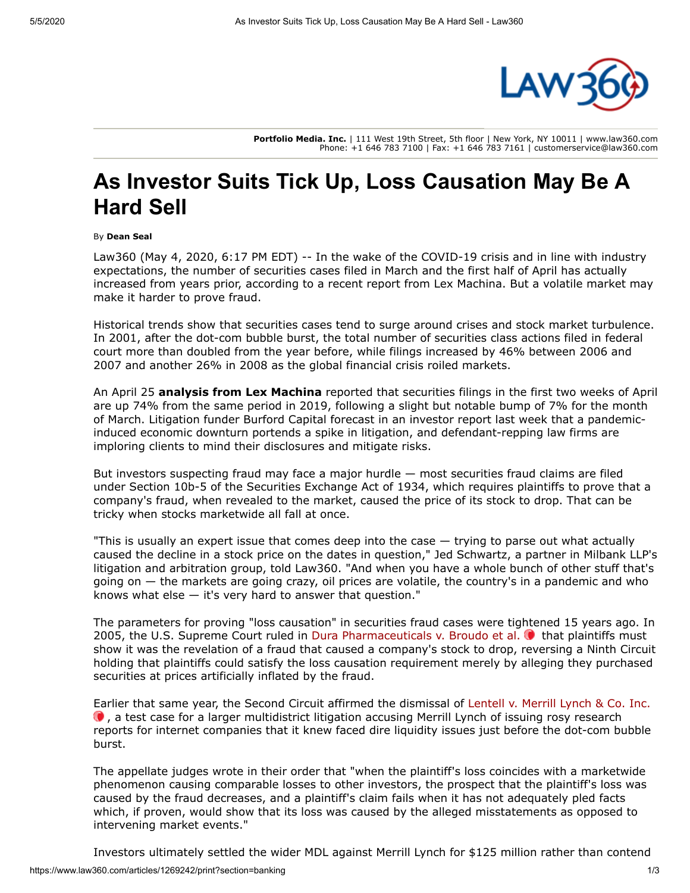

**Portfolio Media. Inc.** | 111 West 19th Street, 5th floor | New York, NY 10011 | www.law360.com Phone: +1 646 783 7100 | Fax: +1 646 783 7161 | customerservice@law360.com

## **As Investor Suits Tick Up, Loss Causation May Be A Hard Sell**

## By **Dean Seal**

Law360 (May 4, 2020, 6:17 PM EDT) -- In the wake of the COVID-19 crisis and in line with industry expectations, the number of securities cases filed in March and the first half of April has actually increased from years prior, according to a recent report from Lex Machina. But a volatile market may make it harder to prove fraud.

Historical trends show that securities cases tend to surge around crises and stock market turbulence. In 2001, after the dot-com bubble burst, the total number of securities class actions filed in federal court more than doubled from the year before, while filings increased by 46% between 2006 and 2007 and another 26% in 2008 as the global financial crisis roiled markets.

An April 25 **[analysis from Lex Machina](https://www.google.com/url?q=https://lexmachina.com/april-two-week-update/&sa=D&source=hangouts&ust=1588715710965000&usg=AFQjCNH-gtzk_Xcl-zjgOy_PjF3IeYz5Mw)** reported that securities filings in the first two weeks of April are up 74% from the same period in 2019, following a slight but notable bump of 7% for the month of March. Litigation funder [Burford Capital](https://www.law360.com/companies/burford-capital-llc) forecast in an investor report last week that a pandemicinduced economic downturn portends a spike in litigation, and defendant-repping law firms are imploring clients to mind their disclosures and mitigate risks.

But investors suspecting fraud may face a major hurdle — most securities fraud claims are filed under Section 10b-5 of the Securities Exchange Act of 1934, which requires plaintiffs to prove that a company's fraud, when revealed to the market, caused the price of its stock to drop. That can be tricky when stocks marketwide all fall at once.

"This is usually an expert issue that comes deep into the case — trying to parse out what actually caused the decline in a stock price on the dates in question," Jed Schwartz, a partner in [Milbank LLP](https://www.law360.com/firms/milbank-llp)'s litigation and arbitration group, told Law360. "And when you have a whole bunch of other stuff that's going on — the markets are going crazy, oil prices are volatile, the country's in a pandemic and who knows what else — it's very hard to answer that question."

The parameters for proving "loss causation" in securities fraud cases were tightened 15 years ago. In 2005, the [U.S. Supreme Court](https://www.law360.com/agencies/u-s-supreme-court) ruled in [Dura Pharmaceuticals v. Broudo et al.](https://advance.lexis.com/api/search?q=2005%20U.S.%20LEXIS%203478&qlang=bool&origination=law360&internalOrigination=article_id%3D1269242%3Bcitation%3D2005%20U.S.%20LEXIS%203478&originationDetail=headline%3DAs%20Investor%20Suits%20Tick%20Up%2C%20Loss%20Causation%20May%20Be%20A%20Hard%20Sell&) **that plaintiffs must** show it was the revelation of a fraud that caused a company's stock to drop, reversing a Ninth Circuit holding that plaintiffs could satisfy the loss causation requirement merely by alleging they purchased securities at prices artificially inflated by the fraud.

[Earlier that same year, the Second Circuit affirmed the dismissal of Lentell v. Merrill Lynch & Co. Inc.](https://advance.lexis.com/api/search?q=2005%20U.S.%20App.%20LEXIS%201016&qlang=bool&origination=law360&internalOrigination=article_id%3D1269242%3Bcitation%3D2005%20U.S.%20App.%20LEXIS%201016&originationDetail=headline%3DAs%20Investor%20Suits%20Tick%20Up%2C%20Loss%20Causation%20May%20Be%20A%20Hard%20Sell&)   $\bullet$ , a test case for a larger multidistrict litigation accusing Merrill Lynch of issuing rosy research reports for internet companies that it knew faced dire liquidity issues just before the dot-com bubble burst.

The appellate judges wrote in their order that "when the plaintiff's loss coincides with a marketwide phenomenon causing comparable losses to other investors, the prospect that the plaintiff's loss was caused by the fraud decreases, and a plaintiff's claim fails when it has not adequately pled facts which, if proven, would show that its loss was caused by the alleged misstatements as opposed to intervening market events."

Investors ultimately settled the wider MDL against Merrill Lynch for \$125 million rather than contend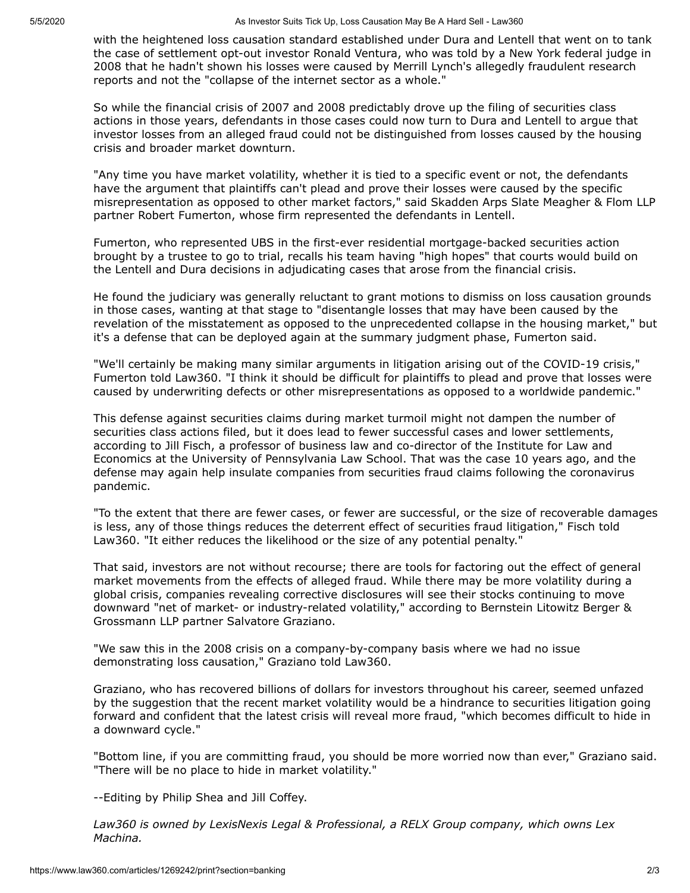with the heightened loss causation standard established under Dura and Lentell that went on to tank the case of settlement opt-out investor Ronald Ventura, who was told by a New York federal judge in 2008 that he hadn't shown his losses were caused by Merrill Lynch's allegedly fraudulent research reports and not the "collapse of the internet sector as a whole."

So while the financial crisis of 2007 and 2008 predictably drove up the filing of securities class actions in those years, defendants in those cases could now turn to Dura and Lentell to argue that investor losses from an alleged fraud could not be distinguished from losses caused by the housing crisis and broader market downturn.

"Any time you have market volatility, whether it is tied to a specific event or not, the defendants have the argument that plaintiffs can't plead and prove their losses were caused by the specific misrepresentation as opposed to other market factors," said [Skadden Arps Slate Meagher & Flom LLP](https://www.law360.com/firms/skadden) partner Robert Fumerton, whose firm represented the defendants in Lentell.

Fumerton, who represented [UBS](https://www.law360.com/companies/ubs-ag) in the first-ever residential mortgage-backed securities action brought by a trustee to go to trial, recalls his team having "high hopes" that courts would build on the Lentell and Dura decisions in adjudicating cases that arose from the financial crisis.

He found the judiciary was generally reluctant to grant motions to dismiss on loss causation grounds in those cases, wanting at that stage to "disentangle losses that may have been caused by the revelation of the misstatement as opposed to the unprecedented collapse in the housing market," but it's a defense that can be deployed again at the summary judgment phase, Fumerton said.

"We'll certainly be making many similar arguments in litigation arising out of the COVID-19 crisis," Fumerton told Law360. "I think it should be difficult for plaintiffs to plead and prove that losses were caused by underwriting defects or other misrepresentations as opposed to a worldwide pandemic."

This defense against securities claims during market turmoil might not dampen the number of securities class actions filed, but it does lead to fewer successful cases and lower settlements, according to Jill Fisch, a professor of business law and co-director of the Institute for Law and Economics at the University of Pennsylvania Law School. That was the case 10 years ago, and the defense may again help insulate companies from securities fraud claims following the coronavirus pandemic.

"To the extent that there are fewer cases, or fewer are successful, or the size of recoverable damages is less, any of those things reduces the deterrent effect of securities fraud litigation," Fisch told Law360. "It either reduces the likelihood or the size of any potential penalty."

That said, investors are not without recourse; there are tools for factoring out the effect of general market movements from the effects of alleged fraud. While there may be more volatility during a global crisis, companies revealing corrective disclosures will see their stocks continuing to move [downward "net of market- or industry-related volatility," according to Bernstein Litowitz Berger &](https://www.law360.com/firms/bernstein-litowitz) Grossmann LLP partner Salvatore Graziano.

"We saw this in the 2008 crisis on a company-by-company basis where we had no issue demonstrating loss causation," Graziano told Law360.

Graziano, who has recovered billions of dollars for investors throughout his career, seemed unfazed by the suggestion that the recent market volatility would be a hindrance to securities litigation going forward and confident that the latest crisis will reveal more fraud, "which becomes difficult to hide in a downward cycle."

"Bottom line, if you are committing fraud, you should be more worried now than ever," Graziano said. "There will be no place to hide in market volatility."

--Editing by Philip Shea and Jill Coffey.

*Law360 is owned by [LexisNexis Legal & Professional,](https://www.law360.com/companies/lexisnexis-group) a [RELX Group company,](https://www.law360.com/companies/relx-plc) which owns Lex Machina.*